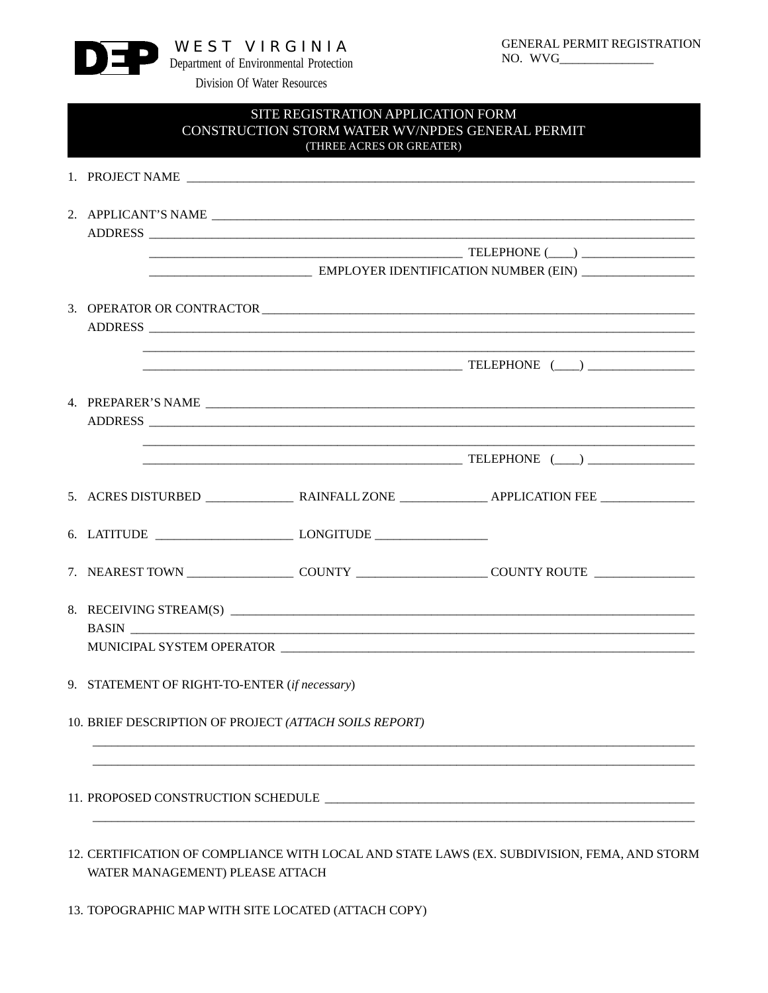

## SITE REGISTRATION APPLICATION FORM CONSTRUCTION STORM WATER WV/NPDES GENERAL PERMIT (THREE ACRES OR GREATER)

|                                                        | ADDRESS                                       |                                                                                                            |  |  |
|--------------------------------------------------------|-----------------------------------------------|------------------------------------------------------------------------------------------------------------|--|--|
|                                                        |                                               |                                                                                                            |  |  |
|                                                        |                                               |                                                                                                            |  |  |
|                                                        |                                               |                                                                                                            |  |  |
|                                                        |                                               | 3. OPERATOR OR CONTRACTOR                                                                                  |  |  |
|                                                        |                                               |                                                                                                            |  |  |
|                                                        |                                               | ADDRESS                                                                                                    |  |  |
|                                                        |                                               |                                                                                                            |  |  |
|                                                        |                                               |                                                                                                            |  |  |
|                                                        |                                               |                                                                                                            |  |  |
|                                                        |                                               |                                                                                                            |  |  |
|                                                        |                                               | ADDRESS                                                                                                    |  |  |
|                                                        |                                               | $\begin{tabular}{c} \textbf{TELEPHONE} \end{tabular}$ $\begin{tabular}{c} \textbf{NLEPHONE} \end{tabular}$ |  |  |
|                                                        |                                               |                                                                                                            |  |  |
|                                                        |                                               |                                                                                                            |  |  |
|                                                        |                                               |                                                                                                            |  |  |
|                                                        |                                               |                                                                                                            |  |  |
|                                                        |                                               |                                                                                                            |  |  |
|                                                        |                                               |                                                                                                            |  |  |
|                                                        |                                               |                                                                                                            |  |  |
|                                                        |                                               |                                                                                                            |  |  |
|                                                        | 8. RECEIVING STREAM(S)                        |                                                                                                            |  |  |
|                                                        |                                               |                                                                                                            |  |  |
|                                                        |                                               |                                                                                                            |  |  |
|                                                        | 9. STATEMENT OF RIGHT-TO-ENTER (if necessary) |                                                                                                            |  |  |
|                                                        |                                               |                                                                                                            |  |  |
| 10. BRIEF DESCRIPTION OF PROJECT (ATTACH SOILS REPORT) |                                               |                                                                                                            |  |  |
|                                                        |                                               |                                                                                                            |  |  |
|                                                        |                                               |                                                                                                            |  |  |
|                                                        |                                               |                                                                                                            |  |  |
| 11. PROPOSED CONSTRUCTION SCHEDULE                     |                                               |                                                                                                            |  |  |
|                                                        |                                               |                                                                                                            |  |  |
|                                                        |                                               |                                                                                                            |  |  |
|                                                        |                                               |                                                                                                            |  |  |

- 12. CERTIFICATION OF COMPLIANCE WITH LOCAL AND STATE LAWS (EX. SUBDIVISION, FEMA, AND STORM WATER MANAGEMENT) PLEASE ATTACH
- 13. TOPOGRAPHIC MAP WITH SITE LOCATED (ATTACH COPY)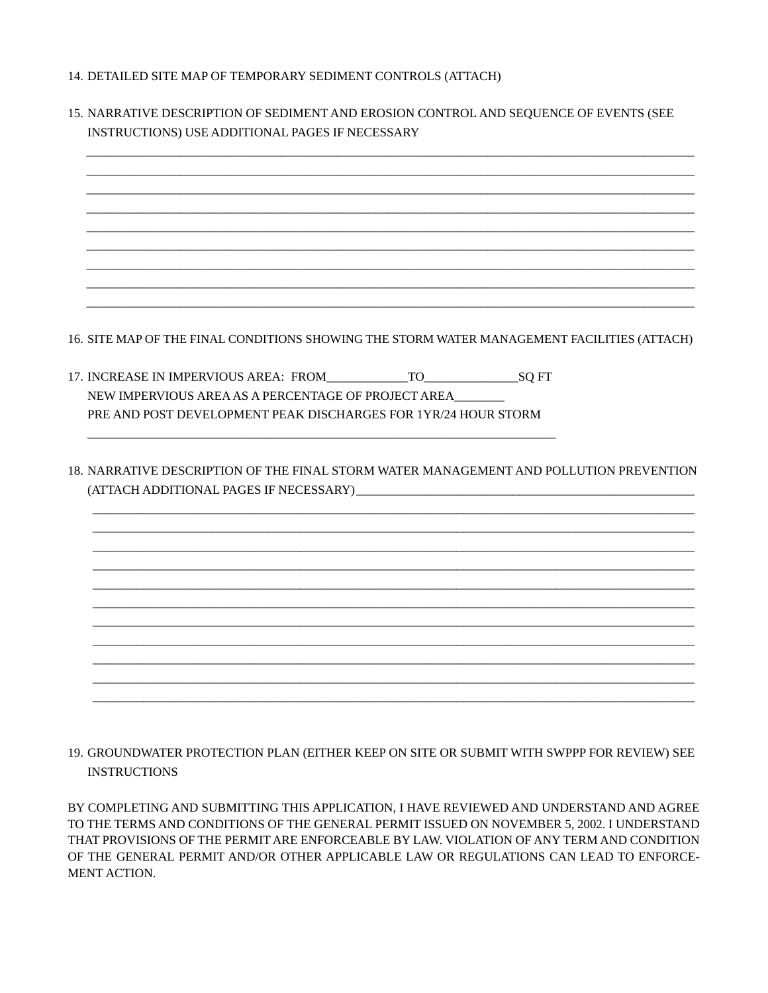- 14. DETAILED SITE MAP OF TEMPORARY SEDIMENT CONTROLS (ATTACH)
- 15. NARRATIVE DESCRIPTION OF SEDIMENT AND EROSION CONTROL AND SEQUENCE OF EVENTS (SEE **INSTRUCTIONS) USE ADDITIONAL PAGES IF NECESSARY** 16. SITE MAP OF THE FINAL CONDITIONS SHOWING THE STORM WATER MANAGEMENT FACILITIES (ATTACH) 17. INCREASE IN IMPERVIOUS AREA: FROM TO SOFT NEW IMPERVIOUS AREA AS A PERCENTAGE OF PROJECT AREA PRE AND POST DEVELOPMENT PEAK DISCHARGES FOR 1YR/24 HOUR STORM 18. NARRATIVE DESCRIPTION OF THE FINAL STORM WATER MANAGEMENT AND POLLUTION PREVENTION (ATTACH ADDITIONAL PAGES IF NECESSARY)
- 19. GROUNDWATER PROTECTION PLAN (EITHER KEEP ON SITE OR SUBMIT WITH SWPPP FOR REVIEW) SEE **INSTRUCTIONS**

BY COMPLETING AND SUBMITTING THIS APPLICATION, I HAVE REVIEWED AND UNDERSTAND AND AGREE TO THE TERMS AND CONDITIONS OF THE GENERAL PERMIT ISSUED ON NOVEMBER 5, 2002. I UNDERSTAND THAT PROVISIONS OF THE PERMIT ARE ENFORCEABLE BY LAW. VIOLATION OF ANY TERM AND CONDITION OF THE GENERAL PERMIT AND/OR OTHER APPLICABLE LAW OR REGULATIONS CAN LEAD TO ENFORCE-MENT ACTION.